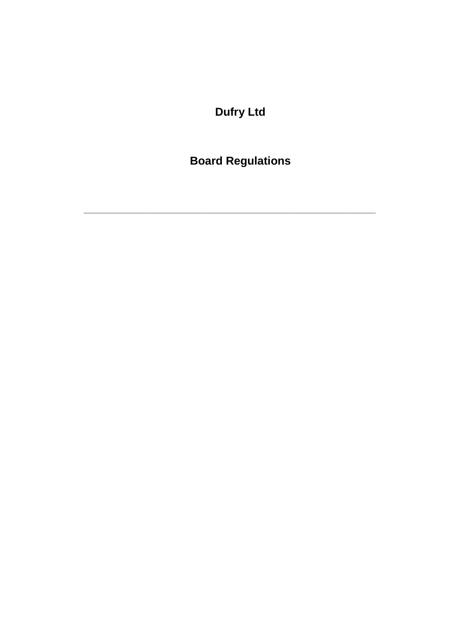**Dufry Ltd** 

**Board Regulations**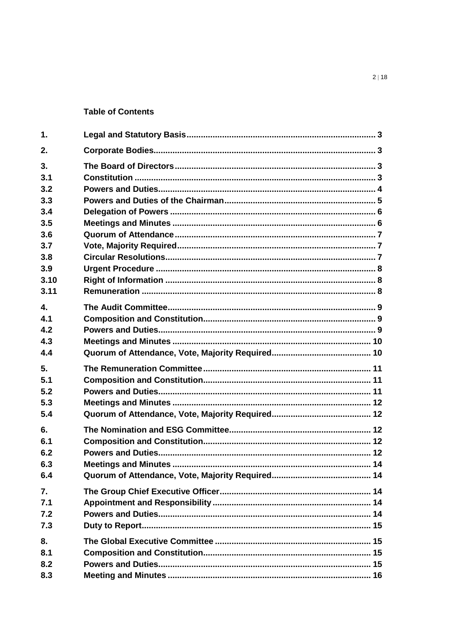#### **Table of Contents**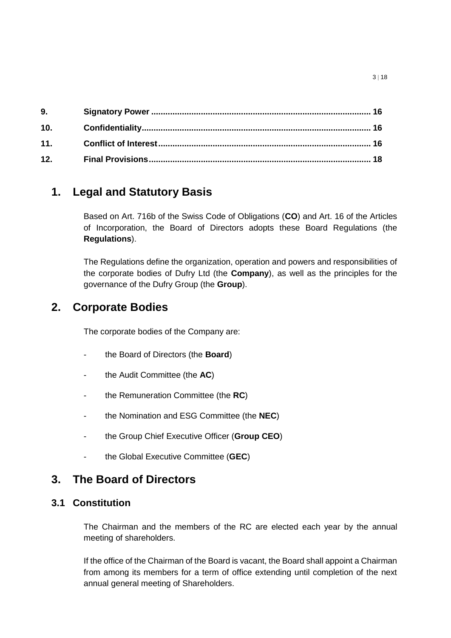| 9.  |  |
|-----|--|
| 10. |  |
| 11. |  |
| 12. |  |

# <span id="page-2-0"></span>**1. Legal and Statutory Basis**

Based on Art. 716b of the Swiss Code of Obligations (**CO**) and Art. 16 of the Articles of Incorporation, the Board of Directors adopts these Board Regulations (the **Regulations**).

The Regulations define the organization, operation and powers and responsibilities of the corporate bodies of Dufry Ltd (the **Company**), as well as the principles for the governance of the Dufry Group (the **Group**).

# <span id="page-2-1"></span>**2. Corporate Bodies**

The corporate bodies of the Company are:

- the Board of Directors (the **Board**)
- the Audit Committee (the **AC**)
- the Remuneration Committee (the **RC**)
- the Nomination and ESG Committee (the **NEC**)
- the Group Chief Executive Officer (**Group CEO**)
- the Global Executive Committee (**GEC**)

# <span id="page-2-2"></span>**3. The Board of Directors**

## <span id="page-2-3"></span>**3.1 Constitution**

The Chairman and the members of the RC are elected each year by the annual meeting of shareholders.

If the office of the Chairman of the Board is vacant, the Board shall appoint a Chairman from among its members for a term of office extending until completion of the next annual general meeting of Shareholders.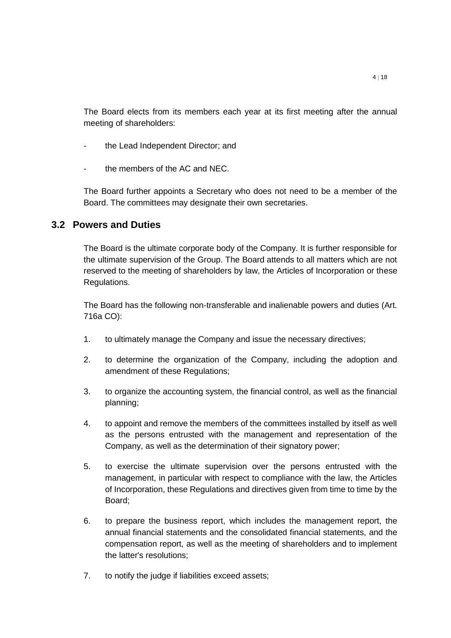The Board elects from its members each year at its first meeting after the annual meeting of shareholders:

- the Lead Independent Director; and
- the members of the AC and NEC.

The Board further appoints a Secretary who does not need to be a member of the Board. The committees may designate their own secretaries.

#### <span id="page-3-0"></span>**3.2 Powers and Duties**

The Board is the ultimate corporate body of the Company. It is further responsible for the ultimate supervision of the Group. The Board attends to all matters which are not reserved to the meeting of shareholders by law, the Articles of Incorporation or these Regulations.

The Board has the following non-transferable and inalienable powers and duties (Art. 716a CO):

- 1. to ultimately manage the Company and issue the necessary directives;
- 2. to determine the organization of the Company, including the adoption and amendment of these Regulations;
- 3. to organize the accounting system, the financial control, as well as the financial planning;
- 4. to appoint and remove the members of the committees installed by itself as well as the persons entrusted with the management and representation of the Company, as well as the determination of their signatory power;
- 5. to exercise the ultimate supervision over the persons entrusted with the management, in particular with respect to compliance with the law, the Articles of Incorporation, these Regulations and directives given from time to time by the Board;
- 6. to prepare the business report, which includes the management report, the annual financial statements and the consolidated financial statements, and the compensation report, as well as the meeting of shareholders and to implement the latter's resolutions;
- 7. to notify the judge if liabilities exceed assets;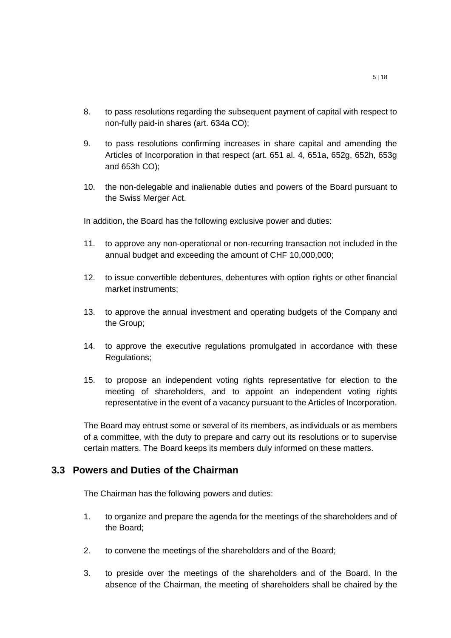- 8. to pass resolutions regarding the subsequent payment of capital with respect to non-fully paid-in shares (art. 634a CO);
- 9. to pass resolutions confirming increases in share capital and amending the Articles of Incorporation in that respect (art. 651 al. 4, 651a, 652g, 652h, 653g and 653h CO);
- 10. the non-delegable and inalienable duties and powers of the Board pursuant to the Swiss Merger Act.

In addition, the Board has the following exclusive power and duties:

- 11. to approve any non-operational or non-recurring transaction not included in the annual budget and exceeding the amount of CHF 10,000,000;
- 12. to issue convertible debentures, debentures with option rights or other financial market instruments;
- 13. to approve the annual investment and operating budgets of the Company and the Group;
- 14. to approve the executive regulations promulgated in accordance with these Regulations;
- 15. to propose an independent voting rights representative for election to the meeting of shareholders, and to appoint an independent voting rights representative in the event of a vacancy pursuant to the Articles of Incorporation.

The Board may entrust some or several of its members, as individuals or as members of a committee, with the duty to prepare and carry out its resolutions or to supervise certain matters. The Board keeps its members duly informed on these matters.

#### <span id="page-4-0"></span>**3.3 Powers and Duties of the Chairman**

The Chairman has the following powers and duties:

- 1. to organize and prepare the agenda for the meetings of the shareholders and of the Board;
- 2. to convene the meetings of the shareholders and of the Board;
- 3. to preside over the meetings of the shareholders and of the Board. In the absence of the Chairman, the meeting of shareholders shall be chaired by the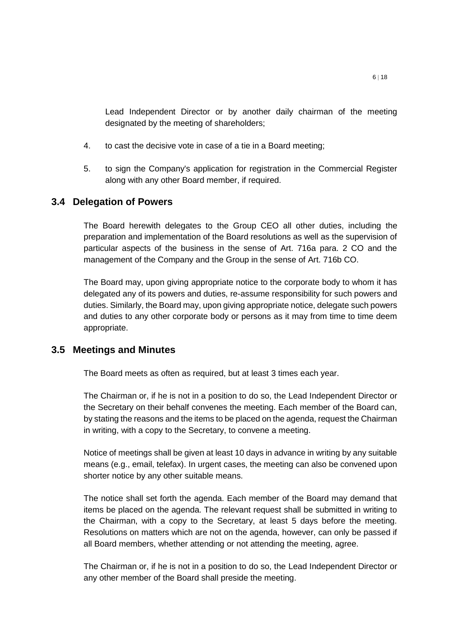Lead Independent Director or by another daily chairman of the meeting designated by the meeting of shareholders;

- 4. to cast the decisive vote in case of a tie in a Board meeting;
- 5. to sign the Company's application for registration in the Commercial Register along with any other Board member, if required.

## <span id="page-5-0"></span>**3.4 Delegation of Powers**

The Board herewith delegates to the Group CEO all other duties, including the preparation and implementation of the Board resolutions as well as the supervision of particular aspects of the business in the sense of Art. 716a para. 2 CO and the management of the Company and the Group in the sense of Art. 716b CO.

The Board may, upon giving appropriate notice to the corporate body to whom it has delegated any of its powers and duties, re-assume responsibility for such powers and duties. Similarly, the Board may, upon giving appropriate notice, delegate such powers and duties to any other corporate body or persons as it may from time to time deem appropriate.

## <span id="page-5-1"></span>**3.5 Meetings and Minutes**

The Board meets as often as required, but at least 3 times each year.

The Chairman or, if he is not in a position to do so, the Lead Independent Director or the Secretary on their behalf convenes the meeting. Each member of the Board can, by stating the reasons and the items to be placed on the agenda, request the Chairman in writing, with a copy to the Secretary, to convene a meeting.

Notice of meetings shall be given at least 10 days in advance in writing by any suitable means (e.g., email, telefax). In urgent cases, the meeting can also be convened upon shorter notice by any other suitable means.

The notice shall set forth the agenda. Each member of the Board may demand that items be placed on the agenda. The relevant request shall be submitted in writing to the Chairman, with a copy to the Secretary, at least 5 days before the meeting. Resolutions on matters which are not on the agenda, however, can only be passed if all Board members, whether attending or not attending the meeting, agree.

The Chairman or, if he is not in a position to do so, the Lead Independent Director or any other member of the Board shall preside the meeting.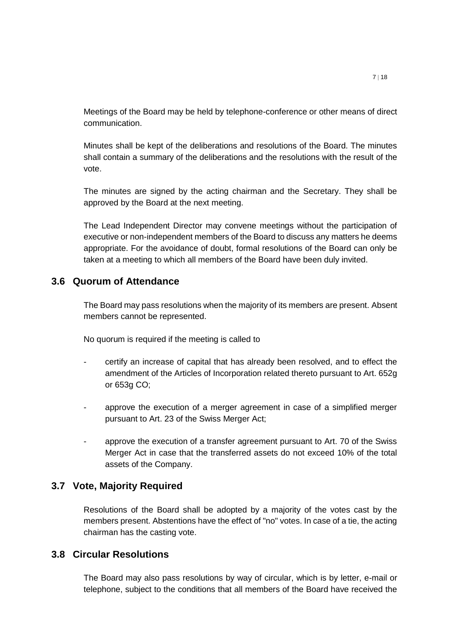Meetings of the Board may be held by telephone-conference or other means of direct communication.

Minutes shall be kept of the deliberations and resolutions of the Board. The minutes shall contain a summary of the deliberations and the resolutions with the result of the vote.

The minutes are signed by the acting chairman and the Secretary. They shall be approved by the Board at the next meeting.

The Lead Independent Director may convene meetings without the participation of executive or non-independent members of the Board to discuss any matters he deems appropriate. For the avoidance of doubt, formal resolutions of the Board can only be taken at a meeting to which all members of the Board have been duly invited.

#### <span id="page-6-0"></span>**3.6 Quorum of Attendance**

The Board may pass resolutions when the majority of its members are present. Absent members cannot be represented.

No quorum is required if the meeting is called to

- certify an increase of capital that has already been resolved, and to effect the amendment of the Articles of Incorporation related thereto pursuant to Art. 652g or 653g CO;
- approve the execution of a merger agreement in case of a simplified merger pursuant to Art. 23 of the Swiss Merger Act;
- approve the execution of a transfer agreement pursuant to Art. 70 of the Swiss Merger Act in case that the transferred assets do not exceed 10% of the total assets of the Company.

#### <span id="page-6-1"></span>**3.7 Vote, Majority Required**

Resolutions of the Board shall be adopted by a majority of the votes cast by the members present. Abstentions have the effect of "no" votes. In case of a tie, the acting chairman has the casting vote.

#### <span id="page-6-2"></span>**3.8 Circular Resolutions**

The Board may also pass resolutions by way of circular, which is by letter, e-mail or telephone, subject to the conditions that all members of the Board have received the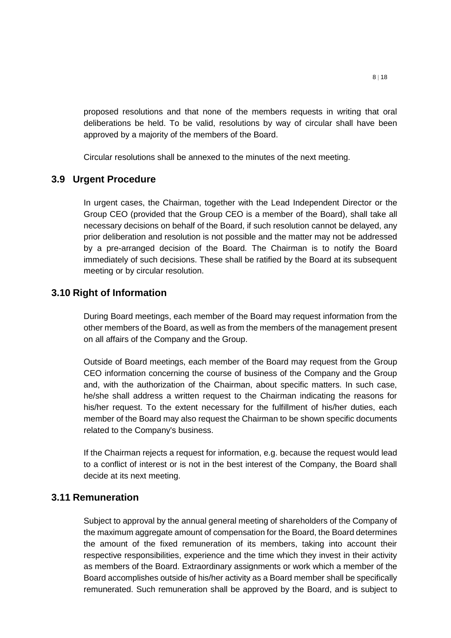proposed resolutions and that none of the members requests in writing that oral deliberations be held. To be valid, resolutions by way of circular shall have been approved by a majority of the members of the Board.

Circular resolutions shall be annexed to the minutes of the next meeting.

## <span id="page-7-0"></span>**3.9 Urgent Procedure**

In urgent cases, the Chairman, together with the Lead Independent Director or the Group CEO (provided that the Group CEO is a member of the Board), shall take all necessary decisions on behalf of the Board, if such resolution cannot be delayed, any prior deliberation and resolution is not possible and the matter may not be addressed by a pre-arranged decision of the Board. The Chairman is to notify the Board immediately of such decisions. These shall be ratified by the Board at its subsequent meeting or by circular resolution.

#### <span id="page-7-1"></span>**3.10 Right of Information**

During Board meetings, each member of the Board may request information from the other members of the Board, as well as from the members of the management present on all affairs of the Company and the Group.

Outside of Board meetings, each member of the Board may request from the Group CEO information concerning the course of business of the Company and the Group and, with the authorization of the Chairman, about specific matters. In such case, he/she shall address a written request to the Chairman indicating the reasons for his/her request. To the extent necessary for the fulfillment of his/her duties, each member of the Board may also request the Chairman to be shown specific documents related to the Company's business.

If the Chairman rejects a request for information, e.g. because the request would lead to a conflict of interest or is not in the best interest of the Company, the Board shall decide at its next meeting.

#### <span id="page-7-2"></span>**3.11 Remuneration**

Subject to approval by the annual general meeting of shareholders of the Company of the maximum aggregate amount of compensation for the Board, the Board determines the amount of the fixed remuneration of its members, taking into account their respective responsibilities, experience and the time which they invest in their activity as members of the Board. Extraordinary assignments or work which a member of the Board accomplishes outside of his/her activity as a Board member shall be specifically remunerated. Such remuneration shall be approved by the Board, and is subject to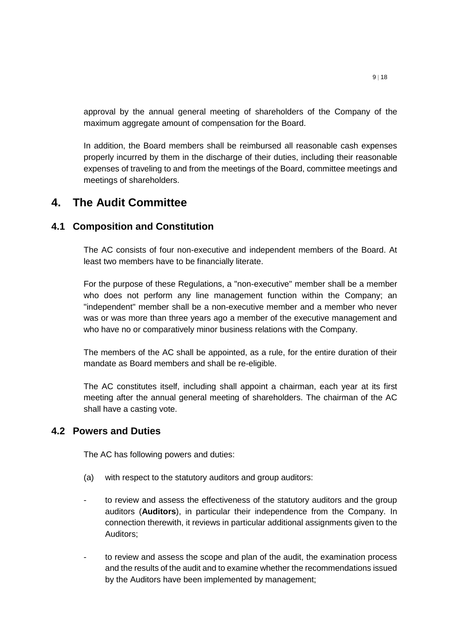approval by the annual general meeting of shareholders of the Company of the maximum aggregate amount of compensation for the Board.

In addition, the Board members shall be reimbursed all reasonable cash expenses properly incurred by them in the discharge of their duties, including their reasonable expenses of traveling to and from the meetings of the Board, committee meetings and meetings of shareholders.

# <span id="page-8-0"></span>**4. The Audit Committee**

## <span id="page-8-1"></span>**4.1 Composition and Constitution**

The AC consists of four non-executive and independent members of the Board. At least two members have to be financially literate.

For the purpose of these Regulations, a "non-executive" member shall be a member who does not perform any line management function within the Company; an "independent" member shall be a non-executive member and a member who never was or was more than three years ago a member of the executive management and who have no or comparatively minor business relations with the Company.

The members of the AC shall be appointed, as a rule, for the entire duration of their mandate as Board members and shall be re-eligible.

The AC constitutes itself, including shall appoint a chairman, each year at its first meeting after the annual general meeting of shareholders. The chairman of the AC shall have a casting vote.

## <span id="page-8-2"></span>**4.2 Powers and Duties**

The AC has following powers and duties:

- (a) with respect to the statutory auditors and group auditors:
- to review and assess the effectiveness of the statutory auditors and the group auditors (**Auditors**), in particular their independence from the Company. In connection therewith, it reviews in particular additional assignments given to the Auditors;
- to review and assess the scope and plan of the audit, the examination process and the results of the audit and to examine whether the recommendations issued by the Auditors have been implemented by management;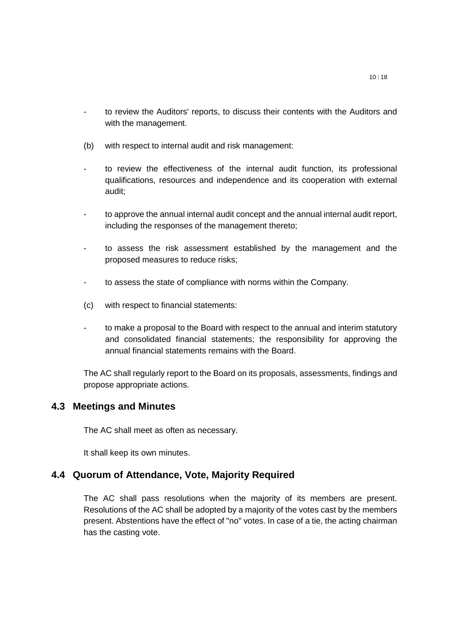- to review the Auditors' reports, to discuss their contents with the Auditors and with the management.
- (b) with respect to internal audit and risk management:
- to review the effectiveness of the internal audit function, its professional qualifications, resources and independence and its cooperation with external audit;
- to approve the annual internal audit concept and the annual internal audit report, including the responses of the management thereto;
- to assess the risk assessment established by the management and the proposed measures to reduce risks;
- to assess the state of compliance with norms within the Company.
- (c) with respect to financial statements:
- to make a proposal to the Board with respect to the annual and interim statutory and consolidated financial statements; the responsibility for approving the annual financial statements remains with the Board.

The AC shall regularly report to the Board on its proposals, assessments, findings and propose appropriate actions.

#### <span id="page-9-0"></span>**4.3 Meetings and Minutes**

The AC shall meet as often as necessary.

It shall keep its own minutes.

#### <span id="page-9-1"></span>**4.4 Quorum of Attendance, Vote, Majority Required**

The AC shall pass resolutions when the majority of its members are present. Resolutions of the AC shall be adopted by a majority of the votes cast by the members present. Abstentions have the effect of "no" votes. In case of a tie, the acting chairman has the casting vote.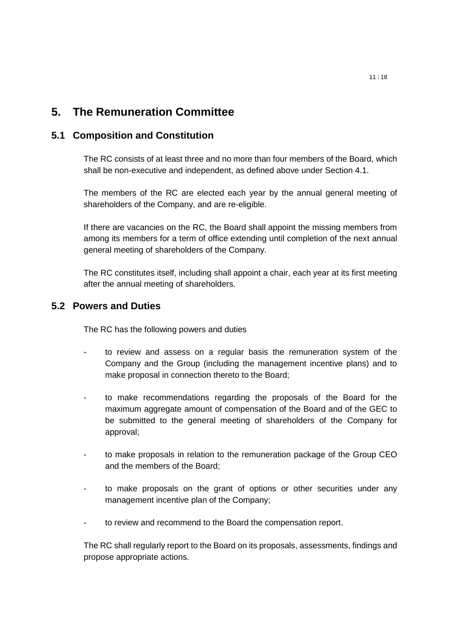# <span id="page-10-0"></span>**5. The Remuneration Committee**

### <span id="page-10-1"></span>**5.1 Composition and Constitution**

The RC consists of at least three and no more than four members of the Board, which shall be non-executive and independent, as defined above under Section 4.1.

The members of the RC are elected each year by the annual general meeting of shareholders of the Company, and are re-eligible.

If there are vacancies on the RC, the Board shall appoint the missing members from among its members for a term of office extending until completion of the next annual general meeting of shareholders of the Company.

The RC constitutes itself, including shall appoint a chair, each year at its first meeting after the annual meeting of shareholders.

#### <span id="page-10-2"></span>**5.2 Powers and Duties**

The RC has the following powers and duties

- to review and assess on a regular basis the remuneration system of the Company and the Group (including the management incentive plans) and to make proposal in connection thereto to the Board;
- to make recommendations regarding the proposals of the Board for the maximum aggregate amount of compensation of the Board and of the GEC to be submitted to the general meeting of shareholders of the Company for approval;
- to make proposals in relation to the remuneration package of the Group CEO and the members of the Board;
- to make proposals on the grant of options or other securities under any management incentive plan of the Company;
- to review and recommend to the Board the compensation report.

The RC shall regularly report to the Board on its proposals, assessments, findings and propose appropriate actions.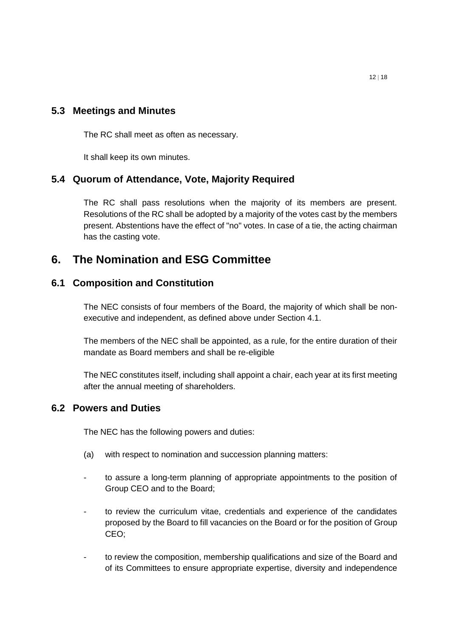## <span id="page-11-0"></span>**5.3 Meetings and Minutes**

The RC shall meet as often as necessary.

It shall keep its own minutes.

## <span id="page-11-1"></span>**5.4 Quorum of Attendance, Vote, Majority Required**

The RC shall pass resolutions when the majority of its members are present. Resolutions of the RC shall be adopted by a majority of the votes cast by the members present. Abstentions have the effect of "no" votes. In case of a tie, the acting chairman has the casting vote.

# <span id="page-11-2"></span>**6. The Nomination and ESG Committee**

## <span id="page-11-3"></span>**6.1 Composition and Constitution**

The NEC consists of four members of the Board, the majority of which shall be nonexecutive and independent, as defined above under Section 4.1.

The members of the NEC shall be appointed, as a rule, for the entire duration of their mandate as Board members and shall be re-eligible

The NEC constitutes itself, including shall appoint a chair, each year at its first meeting after the annual meeting of shareholders.

## <span id="page-11-4"></span>**6.2 Powers and Duties**

The NEC has the following powers and duties:

- (a) with respect to nomination and succession planning matters:
- to assure a long-term planning of appropriate appointments to the position of Group CEO and to the Board;
- to review the curriculum vitae, credentials and experience of the candidates proposed by the Board to fill vacancies on the Board or for the position of Group CEO;
- to review the composition, membership qualifications and size of the Board and of its Committees to ensure appropriate expertise, diversity and independence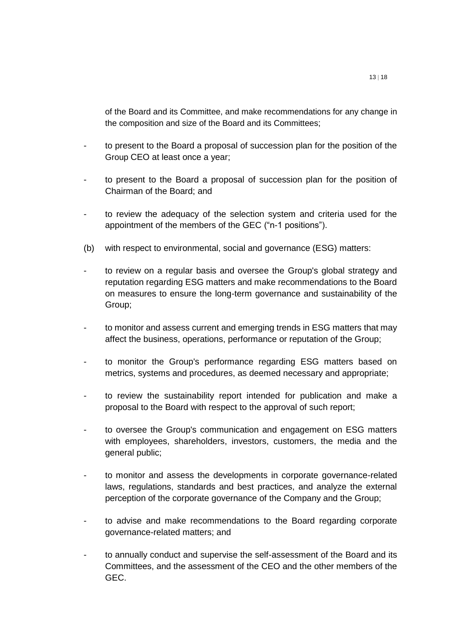of the Board and its Committee, and make recommendations for any change in the composition and size of the Board and its Committees;

- to present to the Board a proposal of succession plan for the position of the Group CEO at least once a year;
- to present to the Board a proposal of succession plan for the position of Chairman of the Board; and
- to review the adequacy of the selection system and criteria used for the appointment of the members of the GEC ("n-1 positions").
- (b) with respect to environmental, social and governance (ESG) matters:
- to review on a regular basis and oversee the Group's global strategy and reputation regarding ESG matters and make recommendations to the Board on measures to ensure the long-term governance and sustainability of the Group;
- to monitor and assess current and emerging trends in ESG matters that may affect the business, operations, performance or reputation of the Group;
- to monitor the Group's performance regarding ESG matters based on metrics, systems and procedures, as deemed necessary and appropriate;
- to review the sustainability report intended for publication and make a proposal to the Board with respect to the approval of such report;
- to oversee the Group's communication and engagement on ESG matters with employees, shareholders, investors, customers, the media and the general public;
- to monitor and assess the developments in corporate governance-related laws, regulations, standards and best practices, and analyze the external perception of the corporate governance of the Company and the Group;
- to advise and make recommendations to the Board regarding corporate governance-related matters; and
- to annually conduct and supervise the self-assessment of the Board and its Committees, and the assessment of the CEO and the other members of the GEC.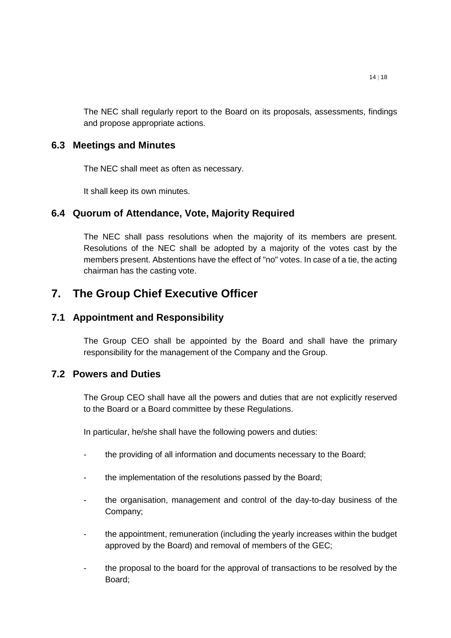The NEC shall regularly report to the Board on its proposals, assessments, findings and propose appropriate actions.

### <span id="page-13-0"></span>**6.3 Meetings and Minutes**

The NEC shall meet as often as necessary.

It shall keep its own minutes.

## <span id="page-13-1"></span>**6.4 Quorum of Attendance, Vote, Majority Required**

The NEC shall pass resolutions when the majority of its members are present. Resolutions of the NEC shall be adopted by a majority of the votes cast by the members present. Abstentions have the effect of "no" votes. In case of a tie, the acting chairman has the casting vote.

# <span id="page-13-2"></span>**7. The Group Chief Executive Officer**

## <span id="page-13-3"></span>**7.1 Appointment and Responsibility**

The Group CEO shall be appointed by the Board and shall have the primary responsibility for the management of the Company and the Group.

## <span id="page-13-4"></span>**7.2 Powers and Duties**

The Group CEO shall have all the powers and duties that are not explicitly reserved to the Board or a Board committee by these Regulations.

In particular, he/she shall have the following powers and duties:

- the providing of all information and documents necessary to the Board;
- the implementation of the resolutions passed by the Board;
- the organisation, management and control of the day-to-day business of the Company;
- the appointment, remuneration (including the yearly increases within the budget approved by the Board) and removal of members of the GEC;
- the proposal to the board for the approval of transactions to be resolved by the Board;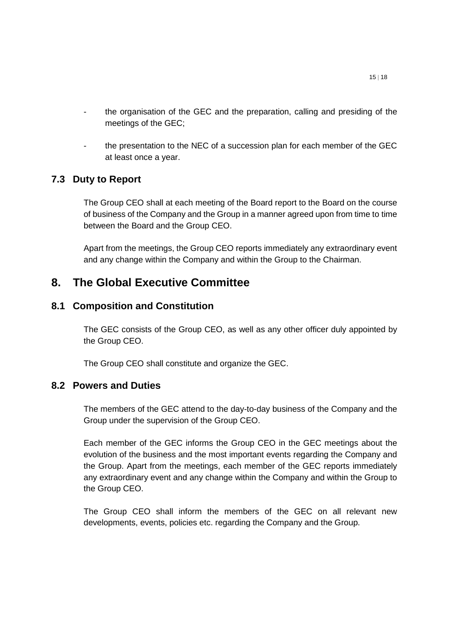- the organisation of the GEC and the preparation, calling and presiding of the meetings of the GEC;
- the presentation to the NEC of a succession plan for each member of the GEC at least once a year.

## <span id="page-14-0"></span>**7.3 Duty to Report**

The Group CEO shall at each meeting of the Board report to the Board on the course of business of the Company and the Group in a manner agreed upon from time to time between the Board and the Group CEO.

Apart from the meetings, the Group CEO reports immediately any extraordinary event and any change within the Company and within the Group to the Chairman.

## <span id="page-14-1"></span>**8. The Global Executive Committee**

#### <span id="page-14-2"></span>**8.1 Composition and Constitution**

The GEC consists of the Group CEO, as well as any other officer duly appointed by the Group CEO.

The Group CEO shall constitute and organize the GEC.

#### <span id="page-14-3"></span>**8.2 Powers and Duties**

The members of the GEC attend to the day-to-day business of the Company and the Group under the supervision of the Group CEO.

Each member of the GEC informs the Group CEO in the GEC meetings about the evolution of the business and the most important events regarding the Company and the Group. Apart from the meetings, each member of the GEC reports immediately any extraordinary event and any change within the Company and within the Group to the Group CEO.

The Group CEO shall inform the members of the GEC on all relevant new developments, events, policies etc. regarding the Company and the Group.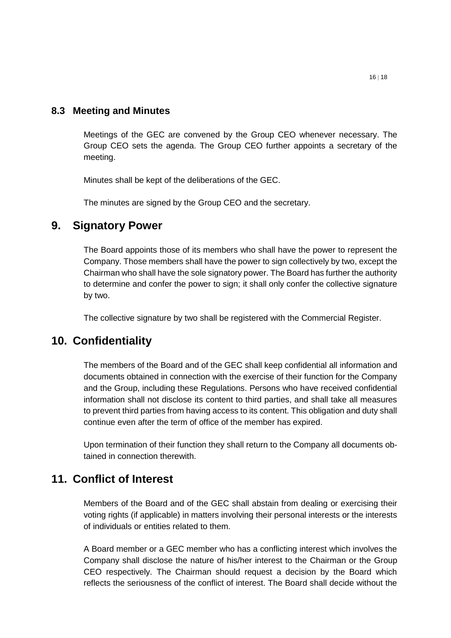### <span id="page-15-0"></span>**8.3 Meeting and Minutes**

Meetings of the GEC are convened by the Group CEO whenever necessary. The Group CEO sets the agenda. The Group CEO further appoints a secretary of the meeting.

Minutes shall be kept of the deliberations of the GEC.

The minutes are signed by the Group CEO and the secretary.

## <span id="page-15-1"></span>**9. Signatory Power**

The Board appoints those of its members who shall have the power to represent the Company. Those members shall have the power to sign collectively by two, except the Chairman who shall have the sole signatory power. The Board has further the authority to determine and confer the power to sign; it shall only confer the collective signature by two.

The collective signature by two shall be registered with the Commercial Register.

## <span id="page-15-2"></span>**10. Confidentiality**

The members of the Board and of the GEC shall keep confidential all information and documents obtained in connection with the exercise of their function for the Company and the Group, including these Regulations. Persons who have received confidential information shall not disclose its content to third parties, and shall take all measures to prevent third parties from having access to its content. This obligation and duty shall continue even after the term of office of the member has expired.

Upon termination of their function they shall return to the Company all documents obtained in connection therewith.

## <span id="page-15-3"></span>**11. Conflict of Interest**

Members of the Board and of the GEC shall abstain from dealing or exercising their voting rights (if applicable) in matters involving their personal interests or the interests of individuals or entities related to them.

A Board member or a GEC member who has a conflicting interest which involves the Company shall disclose the nature of his/her interest to the Chairman or the Group CEO respectively. The Chairman should request a decision by the Board which reflects the seriousness of the conflict of interest. The Board shall decide without the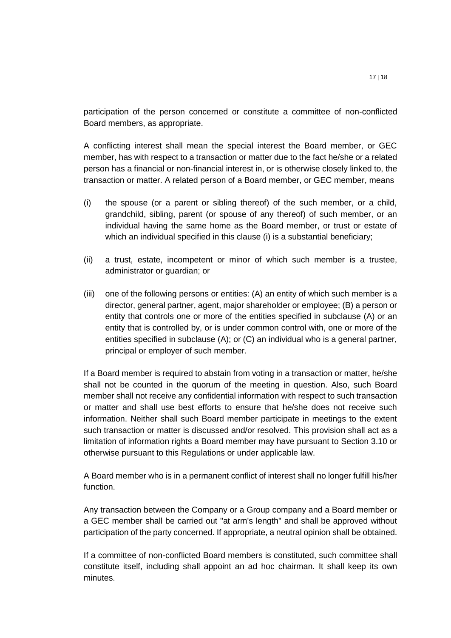participation of the person concerned or constitute a committee of non-conflicted Board members, as appropriate.

A conflicting interest shall mean the special interest the Board member, or GEC member, has with respect to a transaction or matter due to the fact he/she or a related person has a financial or non-financial interest in, or is otherwise closely linked to, the transaction or matter. A related person of a Board member, or GEC member, means

- (i) the spouse (or a parent or sibling thereof) of the such member, or a child, grandchild, sibling, parent (or spouse of any thereof) of such member, or an individual having the same home as the Board member, or trust or estate of which an individual specified in this clause (i) is a substantial beneficiary;
- (ii) a trust, estate, incompetent or minor of which such member is a trustee, administrator or guardian; or
- (iii) one of the following persons or entities: (A) an entity of which such member is a director, general partner, agent, major shareholder or employee; (B) a person or entity that controls one or more of the entities specified in subclause (A) or an entity that is controlled by, or is under common control with, one or more of the entities specified in subclause (A); or (C) an individual who is a general partner, principal or employer of such member.

If a Board member is required to abstain from voting in a transaction or matter, he/she shall not be counted in the quorum of the meeting in question. Also, such Board member shall not receive any confidential information with respect to such transaction or matter and shall use best efforts to ensure that he/she does not receive such information. Neither shall such Board member participate in meetings to the extent such transaction or matter is discussed and/or resolved. This provision shall act as a limitation of information rights a Board member may have pursuant to Section 3.10 or otherwise pursuant to this Regulations or under applicable law.

A Board member who is in a permanent conflict of interest shall no longer fulfill his/her function.

Any transaction between the Company or a Group company and a Board member or a GEC member shall be carried out "at arm's length" and shall be approved without participation of the party concerned. If appropriate, a neutral opinion shall be obtained.

If a committee of non-conflicted Board members is constituted, such committee shall constitute itself, including shall appoint an ad hoc chairman. It shall keep its own minutes.